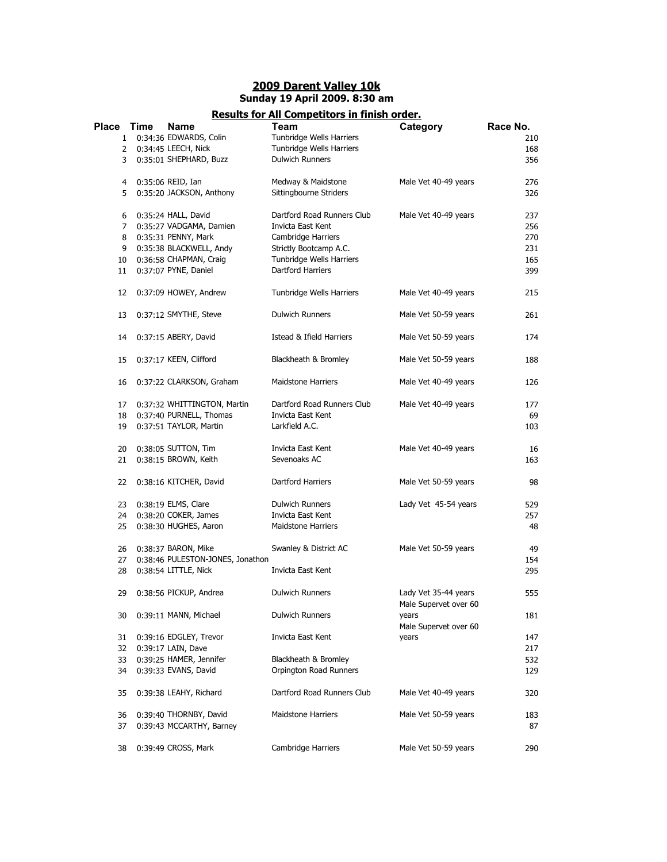## **2009 Darent Valley 10k Sunday 19 April 2009. 8:30 am**

## **Results for All Competitors in finish order.**

| Place | Time | <b>Name</b>                      | Team                       | Category              | Race No. |
|-------|------|----------------------------------|----------------------------|-----------------------|----------|
| 1     |      | 0:34:36 EDWARDS, Colin           | Tunbridge Wells Harriers   |                       | 210      |
| 2     |      | 0:34:45 LEECH, Nick              | Tunbridge Wells Harriers   |                       | 168      |
| 3     |      | 0:35:01 SHEPHARD, Buzz           | <b>Dulwich Runners</b>     |                       | 356      |
|       |      |                                  |                            |                       |          |
| 4     |      | 0:35:06 REID, Ian                | Medway & Maidstone         | Male Vet 40-49 years  | 276      |
| 5     |      | 0:35:20 JACKSON, Anthony         | Sittingbourne Striders     |                       | 326      |
|       |      |                                  |                            |                       |          |
| 6     |      | 0:35:24 HALL, David              | Dartford Road Runners Club | Male Vet 40-49 years  | 237      |
| 7     |      | 0:35:27 VADGAMA, Damien          | Invicta East Kent          |                       | 256      |
| 8     |      | 0:35:31 PENNY, Mark              | Cambridge Harriers         |                       | 270      |
| 9     |      | 0:35:38 BLACKWELL, Andy          | Strictly Bootcamp A.C.     |                       | 231      |
| 10    |      | 0:36:58 CHAPMAN, Craig           | Tunbridge Wells Harriers   |                       | 165      |
| 11    |      | 0:37:07 PYNE, Daniel             | <b>Dartford Harriers</b>   |                       | 399      |
|       |      |                                  |                            |                       |          |
| 12    |      | 0:37:09 HOWEY, Andrew            | Tunbridge Wells Harriers   | Male Vet 40-49 years  | 215      |
| 13    |      | 0:37:12 SMYTHE, Steve            | <b>Dulwich Runners</b>     | Male Vet 50-59 years  | 261      |
|       |      |                                  |                            |                       |          |
| 14    |      | 0:37:15 ABERY, David             | Istead & Ifield Harriers   | Male Vet 50-59 years  | 174      |
|       |      |                                  |                            |                       |          |
| 15    |      | 0:37:17 KEEN, Clifford           | Blackheath & Bromley       | Male Vet 50-59 years  | 188      |
|       |      |                                  |                            |                       |          |
| 16    |      | 0:37:22 CLARKSON, Graham         | <b>Maidstone Harriers</b>  | Male Vet 40-49 years  | 126      |
|       |      |                                  |                            |                       |          |
| 17    |      | 0:37:32 WHITTINGTON, Martin      | Dartford Road Runners Club | Male Vet 40-49 years  | 177      |
| 18    |      | 0:37:40 PURNELL, Thomas          | Invicta East Kent          |                       | 69       |
| 19    |      | 0:37:51 TAYLOR, Martin           | Larkfield A.C.             |                       | 103      |
| 20    |      | 0:38:05 SUTTON, Tim              | Invicta East Kent          | Male Vet 40-49 years  | 16       |
| 21    |      | 0:38:15 BROWN, Keith             | Sevenoaks AC               |                       | 163      |
|       |      |                                  |                            |                       |          |
| 22    |      | 0:38:16 KITCHER, David           | Dartford Harriers          | Male Vet 50-59 years  | 98       |
|       |      |                                  |                            |                       |          |
| 23    |      | 0:38:19 ELMS, Clare              | <b>Dulwich Runners</b>     | Lady Vet 45-54 years  | 529      |
| 24    |      | 0:38:20 COKER, James             | Invicta East Kent          |                       | 257      |
| 25    |      | 0:38:30 HUGHES, Aaron            | <b>Maidstone Harriers</b>  |                       | 48       |
|       |      |                                  |                            |                       |          |
| 26    |      | 0:38:37 BARON, Mike              | Swanley & District AC      | Male Vet 50-59 years  | 49       |
| 27    |      | 0:38:46 PULESTON-JONES, Jonathon |                            |                       | 154      |
| 28    |      | 0:38:54 LITTLE, Nick             | Invicta East Kent          |                       | 295      |
|       |      |                                  |                            |                       |          |
| 29    |      | 0:38:56 PICKUP, Andrea           | <b>Dulwich Runners</b>     | Lady Vet 35-44 years  | 555      |
|       |      |                                  |                            | Male Supervet over 60 |          |
| 30    |      | 0:39:11 MANN, Michael            | <b>Dulwich Runners</b>     | years                 | 181      |
|       |      |                                  |                            | Male Supervet over 60 |          |
| 31    |      | 0:39:16 EDGLEY, Trevor           | Invicta East Kent          | years                 | 147      |
| 32    |      | 0:39:17 LAIN, Dave               |                            |                       | 217      |
| 33    |      | 0:39:25 HAMER, Jennifer          | Blackheath & Bromley       |                       | 532      |
| 34    |      | 0:39:33 EVANS, David             | Orpington Road Runners     |                       | 129      |
|       |      |                                  |                            |                       |          |
| 35    |      | 0:39:38 LEAHY, Richard           | Dartford Road Runners Club | Male Vet 40-49 years  | 320      |
|       |      |                                  |                            |                       |          |
| 36    |      | 0:39:40 THORNBY, David           | <b>Maidstone Harriers</b>  | Male Vet 50-59 years  | 183      |
| 37    |      | 0:39:43 MCCARTHY, Barney         |                            |                       | 87       |
|       |      |                                  |                            |                       |          |
| 38    |      | 0:39:49 CROSS, Mark              | Cambridge Harriers         | Male Vet 50-59 years  | 290      |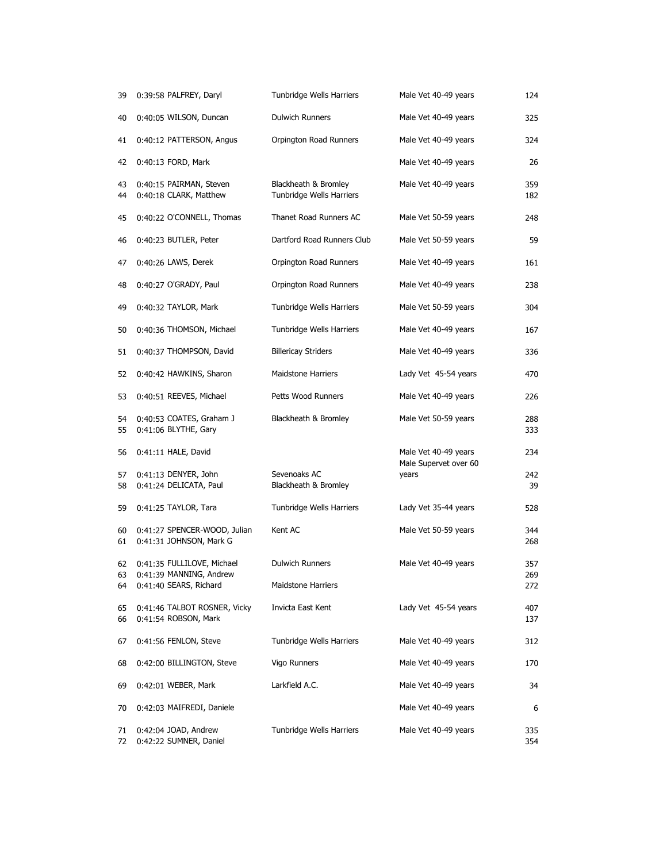| 39             | 0:39:58 PALFREY, Daryl                                                          | Tunbridge Wells Harriers                         | Male Vet 40-49 years           | 124               |
|----------------|---------------------------------------------------------------------------------|--------------------------------------------------|--------------------------------|-------------------|
| 40             | 0:40:05 WILSON, Duncan                                                          | <b>Dulwich Runners</b>                           | Male Vet 40-49 years           | 325               |
| 41             | 0:40:12 PATTERSON, Angus                                                        | Orpington Road Runners                           | Male Vet 40-49 years           | 324               |
| 42             | 0:40:13 FORD, Mark                                                              |                                                  | Male Vet 40-49 years           | 26                |
| 43<br>44       | 0:40:15 PAIRMAN, Steven<br>0:40:18 CLARK, Matthew                               | Blackheath & Bromley<br>Tunbridge Wells Harriers | Male Vet 40-49 years           | 359<br>182        |
| 45             | 0:40:22 O'CONNELL, Thomas                                                       | Thanet Road Runners AC                           | Male Vet 50-59 years           | 248               |
| 46             | 0:40:23 BUTLER, Peter                                                           | Dartford Road Runners Club                       | Male Vet 50-59 years           | 59                |
| 47             | 0:40:26 LAWS, Derek                                                             | Orpington Road Runners                           | Male Vet 40-49 years           | 161               |
| 48             | 0:40:27 O'GRADY, Paul                                                           | Orpington Road Runners                           | Male Vet 40-49 years           | 238               |
| 49             | 0:40:32 TAYLOR, Mark                                                            | Tunbridge Wells Harriers                         | Male Vet 50-59 years           | 304               |
| 50             | 0:40:36 THOMSON, Michael                                                        | Tunbridge Wells Harriers                         | Male Vet 40-49 years           | 167               |
| 51             | 0:40:37 THOMPSON, David                                                         | <b>Billericay Striders</b>                       | Male Vet 40-49 years           | 336               |
| 52             | 0:40:42 HAWKINS, Sharon                                                         | <b>Maidstone Harriers</b>                        | Lady Vet 45-54 years           | 470               |
| 53             | 0:40:51 REEVES, Michael                                                         | Petts Wood Runners                               | Male Vet 40-49 years           | 226               |
| 54             | 0:40:53 COATES, Graham J                                                        | Blackheath & Bromley                             | Male Vet 50-59 years           | 288               |
| 55             | 0:41:06 BLYTHE, Gary                                                            |                                                  |                                | 333               |
| 56             | 0:41:11 HALE, David                                                             |                                                  | Male Vet 40-49 years           | 234               |
| 57<br>58       | 0:41:13 DENYER, John<br>0:41:24 DELICATA, Paul                                  | Sevenoaks AC<br>Blackheath & Bromley             | Male Supervet over 60<br>years | 242<br>39         |
| 59             | 0:41:25 TAYLOR, Tara                                                            | Tunbridge Wells Harriers                         | Lady Vet 35-44 years           | 528               |
| 60<br>61       | 0:41:27 SPENCER-WOOD, Julian<br>0:41:31 JOHNSON, Mark G                         | Kent AC                                          | Male Vet 50-59 years           | 344<br>268        |
| 62<br>63<br>64 | 0:41:35 FULLILOVE, Michael<br>0:41:39 MANNING, Andrew<br>0:41:40 SEARS, Richard | Dulwich Runners<br><b>Maidstone Harriers</b>     | Male Vet 40-49 years           | 357<br>269<br>272 |
| 65<br>66       | 0:41:46 TALBOT ROSNER, Vicky<br>0:41:54 ROBSON, Mark                            | Invicta East Kent                                | Lady Vet 45-54 years           | 407<br>137        |
| 67             | 0:41:56 FENLON, Steve                                                           | Tunbridge Wells Harriers                         | Male Vet 40-49 years           | 312               |
| 68             | 0:42:00 BILLINGTON, Steve                                                       | Vigo Runners                                     | Male Vet 40-49 years           | 170               |
| 69             | 0:42:01 WEBER, Mark                                                             | Larkfield A.C.                                   | Male Vet 40-49 years           | 34                |
| 70             | 0:42:03 MAIFREDI, Daniele                                                       |                                                  | Male Vet 40-49 years           | 6                 |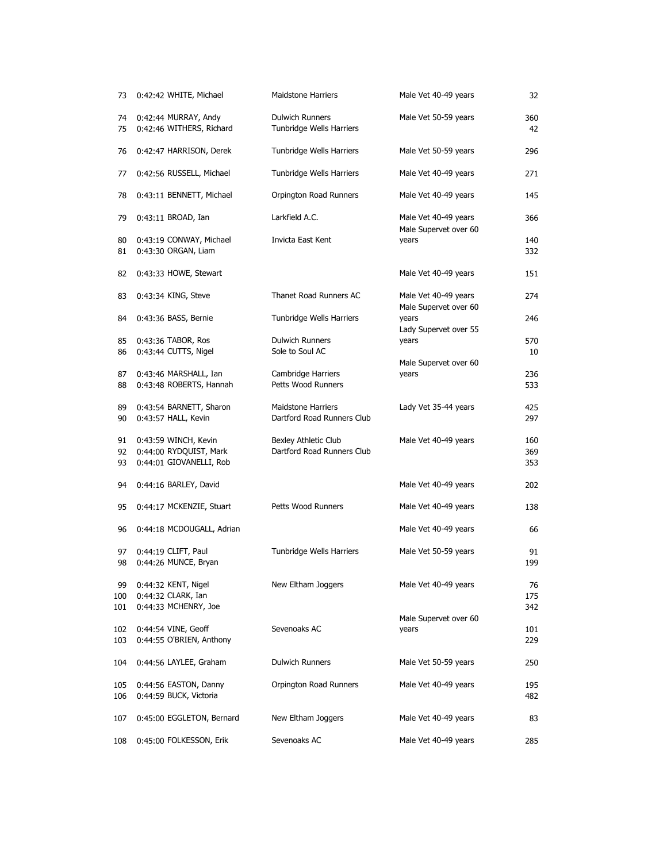| 73               | 0:42:42 WHITE, Michael                                                    | <b>Maidstone Harriers</b>                               | Male Vet 40-49 years                          | 32                |
|------------------|---------------------------------------------------------------------------|---------------------------------------------------------|-----------------------------------------------|-------------------|
| 74<br>75         | 0:42:44 MURRAY, Andy<br>0:42:46 WITHERS, Richard                          | <b>Dulwich Runners</b><br>Tunbridge Wells Harriers      | Male Vet 50-59 years                          | 360<br>42         |
| 76               | 0:42:47 HARRISON, Derek                                                   | Tunbridge Wells Harriers                                | Male Vet 50-59 years                          | 296               |
| 77               | 0:42:56 RUSSELL, Michael                                                  | Tunbridge Wells Harriers                                | Male Vet 40-49 years                          | 271               |
| 78               | 0:43:11 BENNETT, Michael                                                  | Orpington Road Runners                                  | Male Vet 40-49 years                          | 145               |
| 79               | 0:43:11 BROAD, Ian                                                        | Larkfield A.C.                                          | Male Vet 40-49 years<br>Male Supervet over 60 | 366               |
| 80<br>81         | 0:43:19 CONWAY, Michael<br>0:43:30 ORGAN, Liam                            | Invicta East Kent                                       | years                                         | 140<br>332        |
| 82               | 0:43:33 HOWE, Stewart                                                     |                                                         | Male Vet 40-49 years                          | 151               |
| 83               | $0:43:34$ KING, Steve                                                     | Thanet Road Runners AC                                  | Male Vet 40-49 years<br>Male Supervet over 60 | 274               |
| 84               | 0:43:36 BASS, Bernie                                                      | Tunbridge Wells Harriers                                | years<br>Lady Supervet over 55                | 246               |
| 85<br>86         | 0:43:36 TABOR, Ros<br>0:43:44 CUTTS, Nigel                                | <b>Dulwich Runners</b><br>Sole to Soul AC               | years                                         | 570<br>10         |
| 87<br>88         | 0:43:46 MARSHALL, Ian<br>0:43:48 ROBERTS, Hannah                          | Cambridge Harriers<br>Petts Wood Runners                | Male Supervet over 60<br>years                | 236<br>533        |
| 89<br>90         | 0:43:54 BARNETT, Sharon<br>0:43:57 HALL, Kevin                            | <b>Maidstone Harriers</b><br>Dartford Road Runners Club | Lady Vet 35-44 years                          | 425<br>297        |
| 91<br>92<br>93   | 0:43:59 WINCH, Kevin<br>0:44:00 RYDQUIST, Mark<br>0:44:01 GIOVANELLI, Rob | Bexley Athletic Club<br>Dartford Road Runners Club      | Male Vet 40-49 years                          | 160<br>369<br>353 |
| 94               | 0:44:16 BARLEY, David                                                     |                                                         | Male Vet 40-49 years                          | 202               |
| 95               | 0:44:17 MCKENZIE, Stuart                                                  | Petts Wood Runners                                      | Male Vet 40-49 years                          | 138               |
| 96               | 0:44:18 MCDOUGALL, Adrian                                                 |                                                         | Male Vet 40-49 years                          | 66                |
| 97<br>98         | $0:44:19$ CLIFT, Paul<br>0:44:26 MUNCE, Bryan                             | Tunbridge Wells Harriers                                | Male Vet 50-59 years                          | 91<br>199         |
| 99<br>100<br>101 | 0:44:32 KENT, Nigel<br>0:44:32 CLARK, Ian<br>0:44:33 MCHENRY, Joe         | New Eltham Joggers                                      | Male Vet 40-49 years                          | 76<br>175<br>342  |
| 102<br>103       | 0:44:54 VINE, Geoff<br>0:44:55 O'BRIEN, Anthony                           | Sevenoaks AC                                            | Male Supervet over 60<br>years                | 101<br>229        |
| 104              | 0:44:56 LAYLEE, Graham                                                    | Dulwich Runners                                         | Male Vet 50-59 years                          | 250               |
| 105<br>106       | 0:44:56 EASTON, Danny<br>0:44:59 BUCK, Victoria                           | Orpington Road Runners                                  | Male Vet 40-49 years                          | 195<br>482        |
| 107              | 0:45:00 EGGLETON, Bernard                                                 | New Eltham Joggers                                      | Male Vet 40-49 years                          | 83                |
| 108              | 0:45:00 FOLKESSON, Erik                                                   | Sevenoaks AC                                            | Male Vet 40-49 years                          | 285               |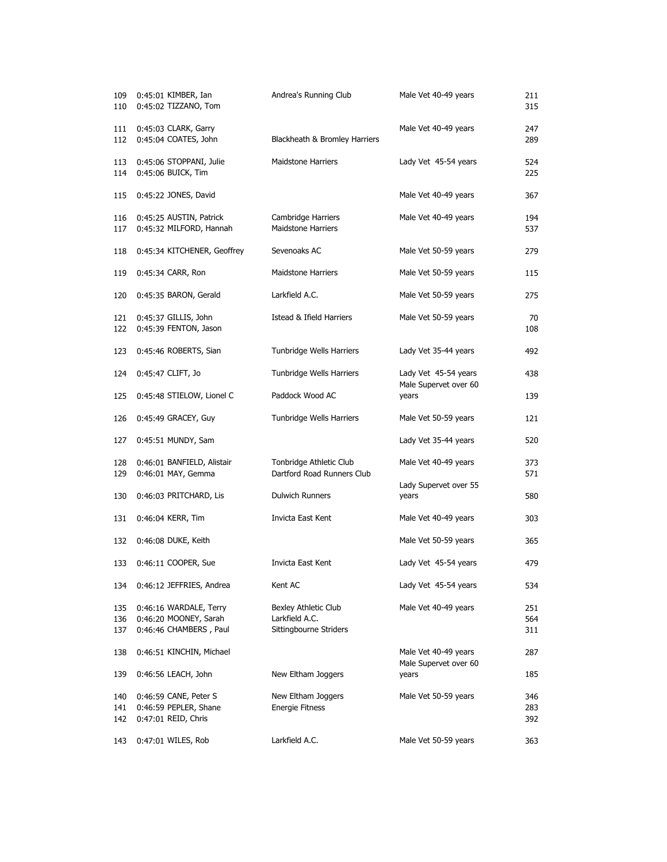| 109<br>110        | 0:45:01 KIMBER, Ian<br>0:45:02 TIZZANO, Tom                               | Andrea's Running Club                                            | Male Vet 40-49 years                          | 211<br>315        |
|-------------------|---------------------------------------------------------------------------|------------------------------------------------------------------|-----------------------------------------------|-------------------|
| 111<br>112        | 0:45:03 CLARK, Garry<br>0:45:04 COATES, John                              | Blackheath & Bromley Harriers                                    | Male Vet 40-49 years                          | 247<br>289        |
| 113<br>114        | 0:45:06 STOPPANI, Julie<br>0:45:06 BUICK, Tim                             | <b>Maidstone Harriers</b>                                        | Lady Vet 45-54 years                          | 524<br>225        |
| 115               | 0:45:22 JONES, David                                                      |                                                                  | Male Vet 40-49 years                          | 367               |
| 116<br>117        | 0:45:25 AUSTIN, Patrick<br>0:45:32 MILFORD, Hannah                        | Cambridge Harriers<br><b>Maidstone Harriers</b>                  | Male Vet 40-49 years                          | 194<br>537        |
| 118               | 0:45:34 KITCHENER, Geoffrey                                               | Sevenoaks AC                                                     | Male Vet 50-59 years                          | 279               |
| 119               | 0:45:34 CARR, Ron                                                         | <b>Maidstone Harriers</b>                                        | Male Vet 50-59 years                          | 115               |
| 120               | 0:45:35 BARON, Gerald                                                     | Larkfield A.C.                                                   | Male Vet 50-59 years                          | 275               |
| 121<br>122        | 0:45:37 GILLIS, John<br>0:45:39 FENTON, Jason                             | Istead & Ifield Harriers                                         | Male Vet 50-59 years                          | 70<br>108         |
| 123               | 0:45:46 ROBERTS, Sian                                                     | Tunbridge Wells Harriers                                         | Lady Vet 35-44 years                          | 492               |
| 124               | 0:45:47 CLIFT, Jo                                                         | Tunbridge Wells Harriers                                         | Lady Vet 45-54 years<br>Male Supervet over 60 | 438               |
| 125               | 0:45:48 STIELOW, Lionel C                                                 | Paddock Wood AC                                                  | years                                         | 139               |
| 126               | 0:45:49 GRACEY, Guy                                                       | Tunbridge Wells Harriers                                         | Male Vet 50-59 years                          | 121               |
| 127               | 0:45:51 MUNDY, Sam                                                        |                                                                  | Lady Vet 35-44 years                          | 520               |
| 128<br>129        | 0:46:01 BANFIELD, Alistair<br>0:46:01 MAY, Gemma                          | Tonbridge Athletic Club<br>Dartford Road Runners Club            | Male Vet 40-49 years                          | 373<br>571        |
| 130               | 0:46:03 PRITCHARD, Lis                                                    | Dulwich Runners                                                  | Lady Supervet over 55<br>years                | 580               |
| 131               | 0:46:04 KERR, Tim                                                         | Invicta East Kent                                                | Male Vet 40-49 years                          | 303               |
| 132               | 0:46:08 DUKE, Keith                                                       |                                                                  | Male Vet 50-59 years                          | 365               |
| 133               | 0:46:11 COOPER, Sue                                                       | Invicta East Kent                                                | Lady Vet 45-54 years                          | 479               |
| 134               | 0:46:12 JEFFRIES, Andrea                                                  | Kent AC                                                          | Lady Vet 45-54 years                          | 534               |
| 135<br>136<br>137 | 0:46:16 WARDALE, Terry<br>0:46:20 MOONEY, Sarah<br>0:46:46 CHAMBERS, Paul | Bexley Athletic Club<br>Larkfield A.C.<br>Sittingbourne Striders | Male Vet 40-49 years                          | 251<br>564<br>311 |
| 138               | 0:46:51 KINCHIN, Michael                                                  |                                                                  | Male Vet 40-49 years                          | 287               |
| 139               | 0:46:56 LEACH, John                                                       | New Eltham Joggers                                               | Male Supervet over 60<br>years                | 185               |
| 140<br>141<br>142 | 0:46:59 CANE, Peter S<br>0:46:59 PEPLER, Shane<br>0:47:01 REID, Chris     | New Eltham Joggers<br>Energie Fitness                            | Male Vet 50-59 years                          | 346<br>283<br>392 |
| 143               | 0:47:01 WILES, Rob                                                        | Larkfield A.C.                                                   | Male Vet 50-59 years                          | 363               |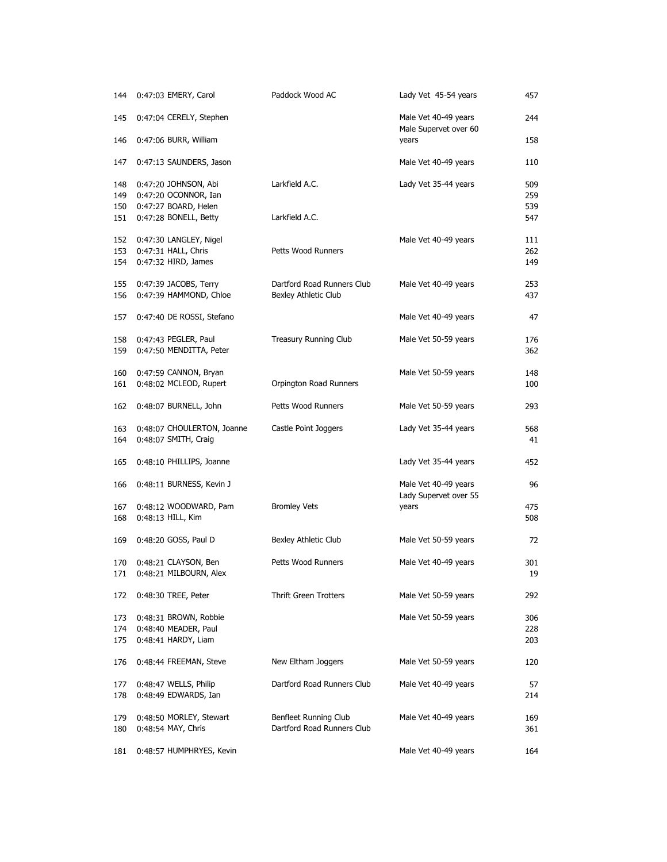| 144                      | 0:47:03 EMERY, Carol                                                                          | Paddock Wood AC                                     | Lady Vet 45-54 years                          | 457                      |
|--------------------------|-----------------------------------------------------------------------------------------------|-----------------------------------------------------|-----------------------------------------------|--------------------------|
| 145                      | 0:47:04 CERELY, Stephen                                                                       |                                                     | Male Vet 40-49 years<br>Male Supervet over 60 | 244                      |
| 146                      | 0:47:06 BURR, William                                                                         |                                                     | years                                         | 158                      |
| 147                      | 0:47:13 SAUNDERS, Jason                                                                       |                                                     | Male Vet 40-49 years                          | 110                      |
| 148<br>149<br>150<br>151 | 0:47:20 JOHNSON, Abi<br>0:47:20 OCONNOR, Ian<br>0:47:27 BOARD, Helen<br>0:47:28 BONELL, Betty | Larkfield A.C.<br>Larkfield A.C.                    | Lady Vet 35-44 years                          | 509<br>259<br>539<br>547 |
| 152<br>153<br>154        | 0:47:30 LANGLEY, Nigel<br>0:47:31 HALL, Chris<br>0:47:32 HIRD, James                          | Petts Wood Runners                                  | Male Vet 40-49 years                          | 111<br>262<br>149        |
| 155<br>156               | 0:47:39 JACOBS, Terry<br>0:47:39 HAMMOND, Chloe                                               | Dartford Road Runners Club<br>Bexley Athletic Club  | Male Vet 40-49 years                          | 253<br>437               |
| 157                      | 0:47:40 DE ROSSI, Stefano                                                                     |                                                     | Male Vet 40-49 years                          | 47                       |
| 158<br>159               | 0:47:43 PEGLER, Paul<br>0:47:50 MENDITTA, Peter                                               | Treasury Running Club                               | Male Vet 50-59 years                          | 176<br>362               |
| 160<br>161               | 0:47:59 CANNON, Bryan<br>0:48:02 MCLEOD, Rupert                                               | Orpington Road Runners                              | Male Vet 50-59 years                          | 148<br>100               |
| 162                      | 0:48:07 BURNELL, John                                                                         | Petts Wood Runners                                  | Male Vet 50-59 years                          | 293                      |
| 163<br>164               | 0:48:07 CHOULERTON, Joanne<br>0:48:07 SMITH, Craig                                            | Castle Point Joggers                                | Lady Vet 35-44 years                          | 568<br>41                |
| 165                      | 0:48:10 PHILLIPS, Joanne                                                                      |                                                     | Lady Vet 35-44 years                          | 452                      |
| 166                      | 0:48:11 BURNESS, Kevin J                                                                      |                                                     | Male Vet 40-49 years<br>Lady Supervet over 55 | 96                       |
| 167<br>168               | 0:48:12 WOODWARD, Pam<br>0:48:13 HILL, Kim                                                    | <b>Bromley Vets</b>                                 | years                                         | 475<br>508               |
| 169                      | 0:48:20 GOSS, Paul D                                                                          | Bexley Athletic Club                                | Male Vet 50-59 years                          | 72                       |
| 170<br>171               | 0:48:21 CLAYSON, Ben<br>0:48:21 MILBOURN, Alex                                                | Petts Wood Runners                                  | Male Vet 40-49 years                          | 301<br>19                |
| 172                      | 0:48:30 TREE, Peter                                                                           | <b>Thrift Green Trotters</b>                        | Male Vet 50-59 years                          | 292                      |
| 173<br>174<br>175        | 0:48:31 BROWN, Robbie<br>0:48:40 MEADER, Paul<br>0:48:41 HARDY, Liam                          |                                                     | Male Vet 50-59 years                          | 306<br>228<br>203        |
| 176                      | 0:48:44 FREEMAN, Steve                                                                        | New Eltham Joggers                                  | Male Vet 50-59 years                          | 120                      |
| 177<br>178               | 0:48:47 WELLS, Philip<br>0:48:49 EDWARDS, Ian                                                 | Dartford Road Runners Club                          | Male Vet 40-49 years                          | 57<br>214                |
| 179<br>180               | 0:48:50 MORLEY, Stewart<br>0:48:54 MAY, Chris                                                 | Benfleet Running Club<br>Dartford Road Runners Club | Male Vet 40-49 years                          | 169<br>361               |
| 181                      | 0:48:57 HUMPHRYES, Kevin                                                                      |                                                     | Male Vet 40-49 years                          | 164                      |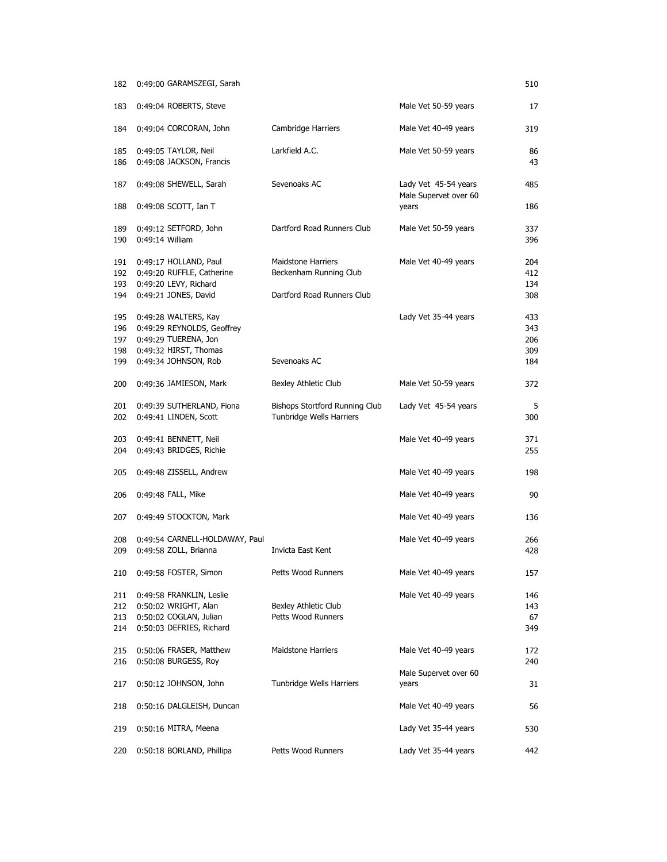| 182        | 0:49:00 GARAMSZEGI, Sarah                          |                                                     |                                               | 510        |
|------------|----------------------------------------------------|-----------------------------------------------------|-----------------------------------------------|------------|
| 183        | 0:49:04 ROBERTS, Steve                             |                                                     | Male Vet 50-59 years                          | 17         |
| 184        | 0:49:04 CORCORAN, John                             | Cambridge Harriers                                  | Male Vet 40-49 years                          | 319        |
| 185<br>186 | 0:49:05 TAYLOR, Neil<br>0:49:08 JACKSON, Francis   | Larkfield A.C.                                      | Male Vet 50-59 years                          | 86<br>43   |
| 187        | 0:49:08 SHEWELL, Sarah                             | Sevenoaks AC                                        | Lady Vet 45-54 years<br>Male Supervet over 60 | 485        |
| 188        | $0:49:08$ SCOTT, Ian T                             |                                                     | years                                         | 186        |
| 189<br>190 | 0:49:12 SETFORD, John<br>0:49:14 William           | Dartford Road Runners Club                          | Male Vet 50-59 years                          | 337<br>396 |
| 191<br>192 | 0:49:17 HOLLAND, Paul<br>0:49:20 RUFFLE, Catherine | <b>Maidstone Harriers</b><br>Beckenham Running Club | Male Vet 40-49 years                          | 204<br>412 |
| 193        | 0:49:20 LEVY, Richard                              |                                                     |                                               | 134        |
| 194        | 0:49:21 JONES, David                               | Dartford Road Runners Club                          |                                               | 308        |
| 195        | 0:49:28 WALTERS, Kay                               |                                                     | Lady Vet 35-44 years                          | 433        |
| 196        | 0:49:29 REYNOLDS, Geoffrey<br>0:49:29 TUERENA, Jon |                                                     |                                               | 343        |
| 197<br>198 | 0:49:32 HIRST, Thomas                              |                                                     |                                               | 206<br>309 |
| 199        | 0:49:34 JOHNSON, Rob                               | Sevenoaks AC                                        |                                               | 184        |
| 200        | 0:49:36 JAMIESON, Mark                             | Bexley Athletic Club                                | Male Vet 50-59 years                          | 372        |
| 201        | 0:49:39 SUTHERLAND, Fiona                          | Bishops Stortford Running Club                      | Lady Vet 45-54 years                          | 5          |
| 202        | 0:49:41 LINDEN, Scott                              | Tunbridge Wells Harriers                            |                                               | 300        |
| 203        |                                                    |                                                     | Male Vet 40-49 years                          | 371        |
| 204        | 0:49:41 BENNETT, Neil<br>0:49:43 BRIDGES, Richie   |                                                     |                                               | 255        |
|            |                                                    |                                                     |                                               |            |
| 205        | 0:49:48 ZISSELL, Andrew                            |                                                     | Male Vet 40-49 years                          | 198        |
| 206        | 0:49:48 FALL, Mike                                 |                                                     | Male Vet 40-49 years                          | 90         |
| 207        | 0:49:49 STOCKTON, Mark                             |                                                     | Male Vet 40-49 years                          | 136        |
| 208        | 0:49:54 CARNELL-HOLDAWAY, Paul                     |                                                     | Male Vet 40-49 years                          | 266        |
| 209        | 0:49:58 ZOLL, Brianna                              | Invicta East Kent                                   |                                               | 428        |
| 210        | 0:49:58 FOSTER, Simon                              | Petts Wood Runners                                  | Male Vet 40-49 years                          | 157        |
| 211        | 0:49:58 FRANKLIN, Leslie                           |                                                     | Male Vet 40-49 years                          | 146        |
| 212        | 0:50:02 WRIGHT, Alan                               | Bexley Athletic Club                                |                                               | 143        |
| 213        | 0:50:02 COGLAN, Julian                             | Petts Wood Runners                                  |                                               | 67         |
| 214        | 0:50:03 DEFRIES, Richard                           |                                                     |                                               | 349        |
| 215        | 0:50:06 FRASER, Matthew                            | <b>Maidstone Harriers</b>                           | Male Vet 40-49 years                          | 172        |
| 216        | 0:50:08 BURGESS, Roy                               |                                                     |                                               | 240        |
| 217        | 0:50:12 JOHNSON, John                              | Tunbridge Wells Harriers                            | Male Supervet over 60<br>years                | 31         |
|            | 0:50:16 DALGLEISH, Duncan                          |                                                     | Male Vet 40-49 years                          | 56         |
| 218        |                                                    |                                                     |                                               |            |
| 219        | 0:50:16 MITRA, Meena                               |                                                     | Lady Vet 35-44 years                          | 530        |
| 220        | 0:50:18 BORLAND, Phillipa                          | Petts Wood Runners                                  | Lady Vet 35-44 years                          | 442        |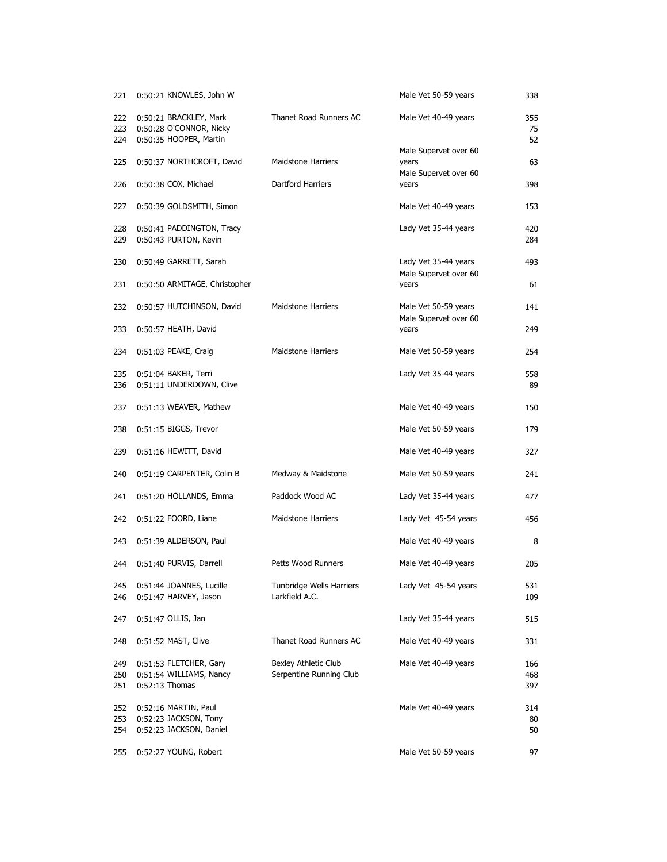| 221               | 0:50:21 KNOWLES, John W                                                     |                                                 | Male Vet 50-59 years                          | 338               |
|-------------------|-----------------------------------------------------------------------------|-------------------------------------------------|-----------------------------------------------|-------------------|
| 222<br>223<br>224 | 0:50:21 BRACKLEY, Mark<br>0:50:28 O'CONNOR, Nicky<br>0:50:35 HOOPER, Martin | Thanet Road Runners AC                          | Male Vet 40-49 years                          | 355<br>75<br>52   |
| 225               | 0:50:37 NORTHCROFT, David                                                   | <b>Maidstone Harriers</b>                       | Male Supervet over 60<br>years                | 63                |
| 226               | 0:50:38 COX, Michael                                                        | Dartford Harriers                               | Male Supervet over 60<br>years                | 398               |
| 227               | 0:50:39 GOLDSMITH, Simon                                                    |                                                 | Male Vet 40-49 years                          | 153               |
| 228<br>229        | 0:50:41 PADDINGTON, Tracy<br>0:50:43 PURTON, Kevin                          |                                                 | Lady Vet 35-44 years                          | 420<br>284        |
| 230               | 0:50:49 GARRETT, Sarah                                                      |                                                 | Lady Vet 35-44 years<br>Male Supervet over 60 | 493               |
| 231               | 0:50:50 ARMITAGE, Christopher                                               |                                                 | years                                         | 61                |
| 232               | 0:50:57 HUTCHINSON, David                                                   | <b>Maidstone Harriers</b>                       | Male Vet 50-59 years<br>Male Supervet over 60 | 141               |
| 233               | 0:50:57 HEATH, David                                                        |                                                 | years                                         | 249               |
| 234               | 0:51:03 PEAKE, Craig                                                        | <b>Maidstone Harriers</b>                       | Male Vet 50-59 years                          | 254               |
| 235<br>236        | 0:51:04 BAKER, Terri<br>0:51:11 UNDERDOWN, Clive                            |                                                 | Lady Vet 35-44 years                          | 558<br>89         |
| 237               | 0:51:13 WEAVER, Mathew                                                      |                                                 | Male Vet 40-49 years                          | 150               |
| 238               | 0:51:15 BIGGS, Trevor                                                       |                                                 | Male Vet 50-59 years                          | 179               |
| 239               | 0:51:16 HEWITT, David                                                       |                                                 | Male Vet 40-49 years                          | 327               |
| 240               | 0:51:19 CARPENTER, Colin B                                                  | Medway & Maidstone                              | Male Vet 50-59 years                          | 241               |
| 241               | 0:51:20 HOLLANDS, Emma                                                      | Paddock Wood AC                                 | Lady Vet 35-44 years                          | 477               |
| 242               | 0:51:22 FOORD, Liane                                                        | <b>Maidstone Harriers</b>                       | Lady Vet 45-54 years                          | 456               |
| 243               | 0:51:39 ALDERSON, Paul                                                      |                                                 | Male Vet 40-49 years                          | 8                 |
| 244               | 0:51:40 PURVIS, Darrell                                                     | Petts Wood Runners                              | Male Vet 40-49 years                          | 205               |
| 245<br>246        | 0:51:44 JOANNES, Lucille<br>0:51:47 HARVEY, Jason                           | Tunbridge Wells Harriers<br>Larkfield A.C.      | Lady Vet 45-54 years                          | 531<br>109        |
| 247               | 0:51:47 OLLIS, Jan                                                          |                                                 | Lady Vet 35-44 years                          | 515               |
| 248               | 0:51:52 MAST, Clive                                                         | Thanet Road Runners AC                          | Male Vet 40-49 years                          | 331               |
| 249<br>250<br>251 | 0:51:53 FLETCHER, Gary<br>0:51:54 WILLIAMS, Nancy<br>$0:52:13$ Thomas       | Bexley Athletic Club<br>Serpentine Running Club | Male Vet 40-49 years                          | 166<br>468<br>397 |
| 252<br>253<br>254 | 0:52:16 MARTIN, Paul<br>0:52:23 JACKSON, Tony<br>0:52:23 JACKSON, Daniel    |                                                 | Male Vet 40-49 years                          | 314<br>80<br>50   |
| 255               | 0:52:27 YOUNG, Robert                                                       |                                                 | Male Vet 50-59 years                          | 97                |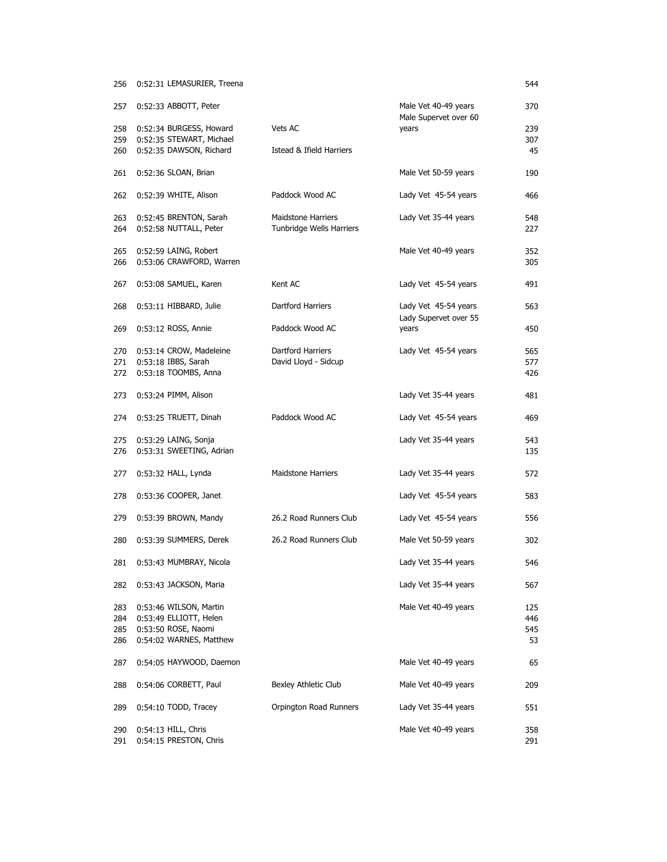| 256        | 0:52:31 LEMASURIER, Treena                        |                                                       |                                               | 544        |
|------------|---------------------------------------------------|-------------------------------------------------------|-----------------------------------------------|------------|
| 257        | 0:52:33 ABBOTT, Peter                             |                                                       | Male Vet 40-49 years<br>Male Supervet over 60 | 370        |
| 258        | 0:52:34 BURGESS, Howard                           | Vets AC                                               | years                                         | 239        |
| 259        | 0:52:35 STEWART, Michael                          |                                                       |                                               | 307        |
| 260        | 0:52:35 DAWSON, Richard                           | Istead & Ifield Harriers                              |                                               | 45         |
| 261        | 0:52:36 SLOAN, Brian                              |                                                       | Male Vet 50-59 years                          | 190        |
| 262        | 0:52:39 WHITE, Alison                             | Paddock Wood AC                                       | Lady Vet 45-54 years                          | 466        |
| 263<br>264 | 0:52:45 BRENTON, Sarah<br>0:52:58 NUTTALL, Peter  | <b>Maidstone Harriers</b><br>Tunbridge Wells Harriers | Lady Vet 35-44 years                          | 548<br>227 |
| 265<br>266 | 0:52:59 LAING, Robert<br>0:53:06 CRAWFORD, Warren |                                                       | Male Vet 40-49 years                          | 352<br>305 |
| 267        | 0:53:08 SAMUEL, Karen                             | Kent AC                                               | Lady Vet 45-54 years                          | 491        |
| 268        | 0:53:11 HIBBARD, Julie                            | Dartford Harriers                                     | Lady Vet 45-54 years<br>Lady Supervet over 55 | 563        |
| 269        | 0:53:12 ROSS, Annie                               | Paddock Wood AC                                       | years                                         | 450        |
| 270        | 0:53:14 CROW, Madeleine                           | Dartford Harriers                                     | Lady Vet 45-54 years                          | 565        |
| 271        | 0:53:18 IBBS, Sarah                               | David Lloyd - Sidcup                                  |                                               | 577        |
| 272        | 0:53:18 TOOMBS, Anna                              |                                                       |                                               | 426        |
| 273        | $0:53:24$ PIMM, Alison                            |                                                       | Lady Vet 35-44 years                          | 481        |
| 274        | 0:53:25 TRUETT, Dinah                             | Paddock Wood AC                                       | Lady Vet 45-54 years                          | 469        |
| 275        | 0:53:29 LAING, Sonja                              |                                                       | Lady Vet 35-44 years                          | 543        |
| 276        | 0:53:31 SWEETING, Adrian                          |                                                       |                                               | 135        |
| 277        | $0:53:32$ HALL, Lynda                             | <b>Maidstone Harriers</b>                             | Lady Vet 35-44 years                          | 572        |
| 278        | 0:53:36 COOPER, Janet                             |                                                       | Lady Vet 45-54 years                          | 583        |
| 279        | 0:53:39 BROWN, Mandy                              | 26.2 Road Runners Club                                | Lady Vet 45-54 years                          | 556        |
| 280        | 0:53:39 SUMMERS, Derek                            | 26.2 Road Runners Club                                | Male Vet 50-59 years                          | 302        |
|            | 281 0:53:43 MUMBRAY, Nicola                       |                                                       | Lady Vet 35-44 years                          | 546        |
| 282        | 0:53:43 JACKSON, Maria                            |                                                       | Lady Vet 35-44 years                          | 567        |
| 283        | 0:53:46 WILSON, Martin                            |                                                       | Male Vet 40-49 years                          | 125        |
| 284        | 0:53:49 ELLIOTT, Helen                            |                                                       |                                               | 446        |
| 285        | 0:53:50 ROSE, Naomi                               |                                                       |                                               | 545        |
| 286        | 0:54:02 WARNES, Matthew                           |                                                       |                                               | 53         |
| 287        | 0:54:05 HAYWOOD, Daemon                           |                                                       | Male Vet 40-49 years                          | 65         |
| 288        | 0:54:06 CORBETT, Paul                             | Bexley Athletic Club                                  | Male Vet 40-49 years                          | 209        |
| 289        | $0:54:10$ TODD, Tracey                            | Orpington Road Runners                                | Lady Vet 35-44 years                          | 551        |
| 290        | $0:54:13$ HILL, Chris                             |                                                       | Male Vet 40-49 years                          | 358        |
| 291        | 0:54:15 PRESTON, Chris                            |                                                       |                                               | 291        |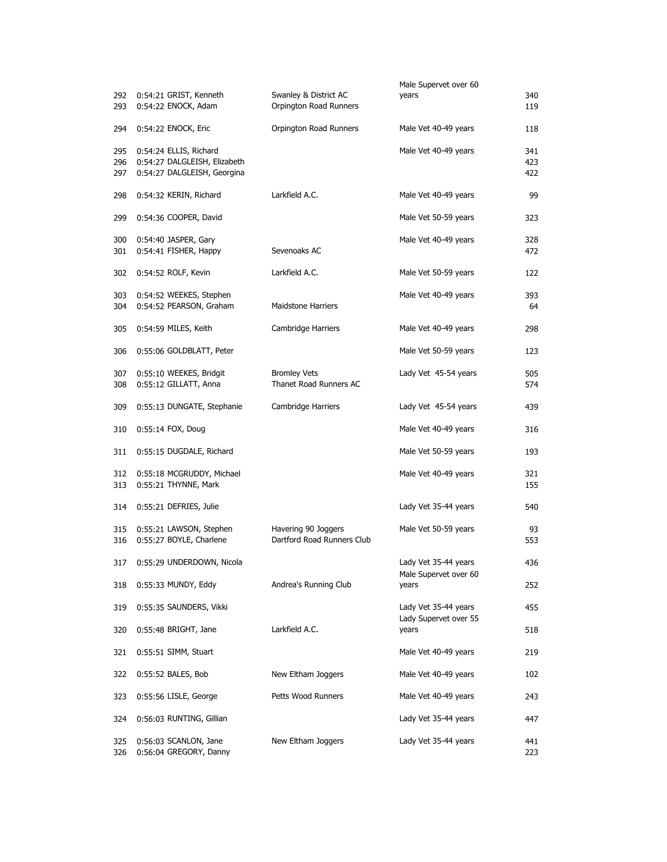|                   |                                                                                       |                                                   | Male Supervet over 60          |                   |
|-------------------|---------------------------------------------------------------------------------------|---------------------------------------------------|--------------------------------|-------------------|
| 292<br>293        | 0:54:21 GRIST, Kenneth<br>0:54:22 ENOCK, Adam                                         | Swanley & District AC<br>Orpington Road Runners   | years                          | 340<br>119        |
| 294               | 0:54:22 ENOCK, Eric                                                                   | Orpington Road Runners                            | Male Vet 40-49 years           | 118               |
| 295<br>296<br>297 | 0:54:24 ELLIS, Richard<br>0:54:27 DALGLEISH, Elizabeth<br>0:54:27 DALGLEISH, Georgina |                                                   | Male Vet 40-49 years           | 341<br>423<br>422 |
| 298               | 0:54:32 KERIN, Richard                                                                | Larkfield A.C.                                    | Male Vet 40-49 years           | 99                |
| 299               | 0:54:36 COOPER, David                                                                 |                                                   | Male Vet 50-59 years           | 323               |
| 300<br>301        | 0:54:40 JASPER, Gary<br>0:54:41 FISHER, Happy                                         | Sevenoaks AC                                      | Male Vet 40-49 years           | 328<br>472        |
| 302               | 0:54:52 ROLF, Kevin                                                                   | Larkfield A.C.                                    | Male Vet 50-59 years           | 122               |
| 303<br>304        | 0:54:52 WEEKES, Stephen<br>0:54:52 PEARSON, Graham                                    | <b>Maidstone Harriers</b>                         | Male Vet 40-49 years           | 393<br>64         |
| 305               | 0:54:59 MILES, Keith                                                                  | Cambridge Harriers                                | Male Vet 40-49 years           | 298               |
| 306               | 0:55:06 GOLDBLATT, Peter                                                              |                                                   | Male Vet 50-59 years           | 123               |
| 307<br>308        | 0:55:10 WEEKES, Bridgit<br>0:55:12 GILLATT, Anna                                      | <b>Bromley Vets</b><br>Thanet Road Runners AC     | Lady Vet 45-54 years           | 505<br>574        |
| 309               | 0:55:13 DUNGATE, Stephanie                                                            | Cambridge Harriers                                | Lady Vet 45-54 years           | 439               |
| 310               | $0:55:14$ FOX, Doug                                                                   |                                                   | Male Vet 40-49 years           | 316               |
| 311               | 0:55:15 DUGDALE, Richard                                                              |                                                   | Male Vet 50-59 years           | 193               |
| 312<br>313        | 0:55:18 MCGRUDDY, Michael<br>0:55:21 THYNNE, Mark                                     |                                                   | Male Vet 40-49 years           | 321<br>155        |
| 314               | 0:55:21 DEFRIES, Julie                                                                |                                                   | Lady Vet 35-44 years           | 540               |
| 315<br>316        | 0:55:21 LAWSON, Stephen<br>0:55:27 BOYLE, Charlene                                    | Havering 90 Joggers<br>Dartford Road Runners Club | Male Vet 50-59 years           | 93<br>553         |
| 317               | 0:55:29 UNDERDOWN, Nicola                                                             |                                                   | Lady Vet 35-44 years           | 436               |
| 318               | 0:55:33 MUNDY, Eddy                                                                   | Andrea's Running Club                             | Male Supervet over 60<br>years | 252               |
| 319               | 0:55:35 SAUNDERS, Vikki                                                               |                                                   | Lady Vet 35-44 years           | 455               |
| 320               | $0:55:48$ BRIGHT, Jane                                                                | Larkfield A.C.                                    | Lady Supervet over 55<br>years | 518               |
| 321               | 0:55:51 SIMM, Stuart                                                                  |                                                   | Male Vet 40-49 years           | 219               |
| 322               | 0:55:52 BALES, Bob                                                                    | New Eltham Joggers                                | Male Vet 40-49 years           | 102               |
| 323               | 0:55:56 LISLE, George                                                                 | Petts Wood Runners                                | Male Vet 40-49 years           | 243               |
| 324               | 0:56:03 RUNTING, Gillian                                                              |                                                   | Lady Vet 35-44 years           | 447               |
| 325<br>326        | 0:56:03 SCANLON, Jane<br>0:56:04 GREGORY, Danny                                       | New Eltham Joggers                                | Lady Vet 35-44 years           | 441<br>223        |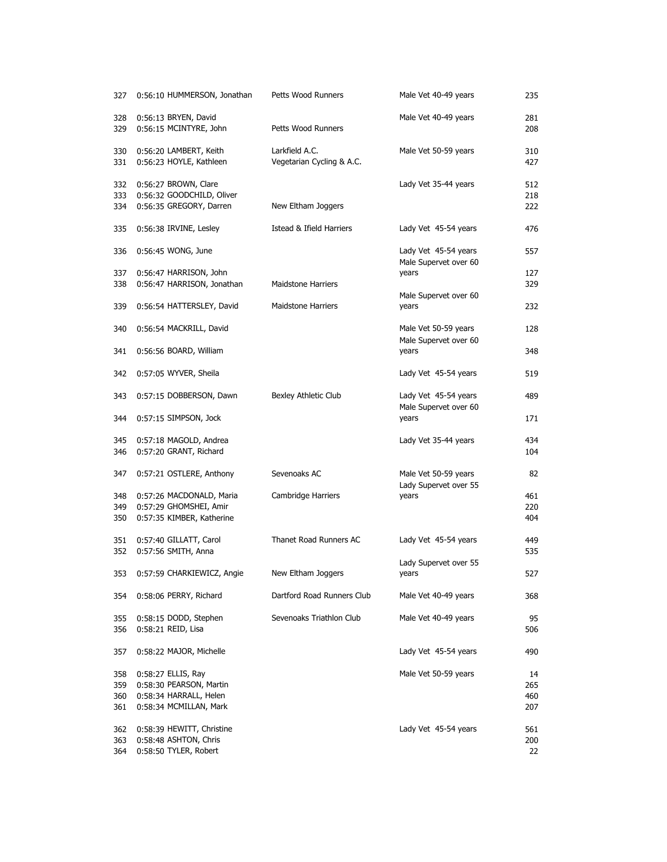| 327                      | 0:56:10 HUMMERSON, Jonathan                                                                       | Petts Wood Runners                          | Male Vet 40-49 years                                    | 235                     |
|--------------------------|---------------------------------------------------------------------------------------------------|---------------------------------------------|---------------------------------------------------------|-------------------------|
| 328<br>329               | 0:56:13 BRYEN, David<br>0:56:15 MCINTYRE, John                                                    | Petts Wood Runners                          | Male Vet 40-49 years                                    | 281<br>208              |
| 330<br>331               | 0:56:20 LAMBERT, Keith<br>0:56:23 HOYLE, Kathleen                                                 | Larkfield A.C.<br>Vegetarian Cycling & A.C. | Male Vet 50-59 years                                    | 310<br>427              |
| 332<br>333<br>334        | 0:56:27 BROWN, Clare<br>0:56:32 GOODCHILD, Oliver<br>0:56:35 GREGORY, Darren                      | New Eltham Joggers                          | Lady Vet 35-44 years                                    | 512<br>218<br>222       |
| 335                      | 0:56:38 IRVINE, Lesley                                                                            | Istead & Ifield Harriers                    | Lady Vet 45-54 years                                    | 476                     |
| 336                      | 0:56:45 WONG, June                                                                                |                                             | Lady Vet 45-54 years                                    | 557                     |
| 337<br>338               | 0:56:47 HARRISON, John<br>0:56:47 HARRISON, Jonathan                                              | <b>Maidstone Harriers</b>                   | Male Supervet over 60<br>years<br>Male Supervet over 60 | 127<br>329              |
| 339                      | 0:56:54 HATTERSLEY, David                                                                         | Maidstone Harriers                          | years                                                   | 232                     |
| 340                      | 0:56:54 MACKRILL, David                                                                           |                                             | Male Vet 50-59 years<br>Male Supervet over 60           | 128                     |
| 341                      | 0:56:56 BOARD, William                                                                            |                                             | years                                                   | 348                     |
| 342                      | 0:57:05 WYVER, Sheila                                                                             |                                             | Lady Vet 45-54 years                                    | 519                     |
| 343                      | 0:57:15 DOBBERSON, Dawn                                                                           | Bexley Athletic Club                        | Lady Vet 45-54 years<br>Male Supervet over 60           | 489                     |
| 344                      | 0:57:15 SIMPSON, Jock                                                                             |                                             | years                                                   | 171                     |
| 345<br>346               | 0:57:18 MAGOLD, Andrea<br>0:57:20 GRANT, Richard                                                  |                                             | Lady Vet 35-44 years                                    | 434<br>104              |
| 347                      | 0:57:21 OSTLERE, Anthony                                                                          | Sevenoaks AC                                | Male Vet 50-59 years<br>Lady Supervet over 55           | 82                      |
| 348<br>349<br>350        | 0:57:26 MACDONALD, Maria<br>0:57:29 GHOMSHEI, Amir<br>0:57:35 KIMBER, Katherine                   | Cambridge Harriers                          | years                                                   | 461<br>220<br>404       |
| 351<br>352               | 0:57:40 GILLATT, Carol<br>0:57:56 SMITH, Anna                                                     | Thanet Road Runners AC                      | Lady Vet 45-54 years                                    | 449<br>535              |
| 353                      | 0:57:59 CHARKIEWICZ, Angie                                                                        | New Eltham Joggers                          | Lady Supervet over 55<br>years                          | 527                     |
| 354                      | 0:58:06 PERRY, Richard                                                                            | Dartford Road Runners Club                  | Male Vet 40-49 years                                    | 368                     |
| 355<br>356               | 0:58:15 DODD, Stephen<br>0:58:21 REID, Lisa                                                       | Sevenoaks Triathlon Club                    | Male Vet 40-49 years                                    | 95<br>506               |
| 357                      | 0:58:22 MAJOR, Michelle                                                                           |                                             | Lady Vet 45-54 years                                    | 490                     |
| 358<br>359<br>360<br>361 | 0:58:27 ELLIS, Ray<br>0:58:30 PEARSON, Martin<br>0:58:34 HARRALL, Helen<br>0:58:34 MCMILLAN, Mark |                                             | Male Vet 50-59 years                                    | 14<br>265<br>460<br>207 |
| 362<br>363<br>364        | 0:58:39 HEWITT, Christine<br>0:58:48 ASHTON, Chris<br>0:58:50 TYLER, Robert                       |                                             | Lady Vet 45-54 years                                    | 561<br>200<br>22        |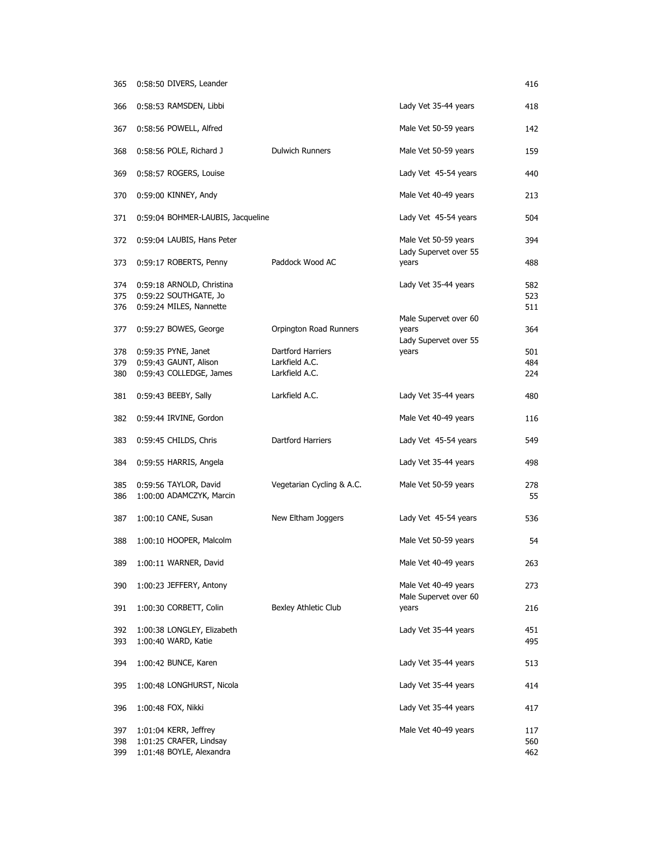| 365               | 0:58:50 DIVERS, Leander                                                       |                           |                                                         | 416               |
|-------------------|-------------------------------------------------------------------------------|---------------------------|---------------------------------------------------------|-------------------|
| 366               | 0:58:53 RAMSDEN, Libbi                                                        |                           | Lady Vet 35-44 years                                    | 418               |
| 367               | 0:58:56 POWELL, Alfred                                                        |                           | Male Vet 50-59 years                                    | 142               |
| 368               | 0:58:56 POLE, Richard J                                                       | <b>Dulwich Runners</b>    | Male Vet 50-59 years                                    | 159               |
| 369               | 0:58:57 ROGERS, Louise                                                        |                           | Lady Vet 45-54 years                                    | 440               |
| 370               | 0:59:00 KINNEY, Andy                                                          |                           | Male Vet 40-49 years                                    | 213               |
| 371               | 0:59:04 BOHMER-LAUBIS, Jacqueline                                             |                           | Lady Vet 45-54 years                                    | 504               |
| 372               | 0:59:04 LAUBIS, Hans Peter                                                    |                           | Male Vet 50-59 years<br>Lady Supervet over 55           | 394               |
| 373               | 0:59:17 ROBERTS, Penny                                                        | Paddock Wood AC           | years                                                   | 488               |
| 374<br>375<br>376 | 0:59:18 ARNOLD, Christina<br>0:59:22 SOUTHGATE, Jo<br>0:59:24 MILES, Nannette |                           | Lady Vet 35-44 years                                    | 582<br>523<br>511 |
| 377               | 0:59:27 BOWES, George                                                         | Orpington Road Runners    | Male Supervet over 60<br>years<br>Lady Supervet over 55 | 364               |
| 378               | 0:59:35 PYNE, Janet                                                           | Dartford Harriers         | years                                                   | 501               |
| 379               | 0:59:43 GAUNT, Alison                                                         | Larkfield A.C.            |                                                         | 484               |
| 380               | 0:59:43 COLLEDGE, James                                                       | Larkfield A.C.            |                                                         | 224               |
| 381               | $0:59:43$ BEEBY, Sally                                                        | Larkfield A.C.            | Lady Vet 35-44 years                                    | 480               |
| 382               | 0:59:44 IRVINE, Gordon                                                        |                           | Male Vet 40-49 years                                    | 116               |
| 383               | 0:59:45 CHILDS, Chris                                                         | Dartford Harriers         | Lady Vet 45-54 years                                    | 549               |
| 384               | 0:59:55 HARRIS, Angela                                                        |                           | Lady Vet 35-44 years                                    | 498               |
| 385<br>386        | 0:59:56 TAYLOR, David<br>1:00:00 ADAMCZYK, Marcin                             | Vegetarian Cycling & A.C. | Male Vet 50-59 years                                    | 278<br>55         |
| 387               | 1:00:10 CANE, Susan                                                           | New Eltham Joggers        | Lady Vet 45-54 years                                    | 536               |
| 388               | 1:00:10 HOOPER, Malcolm                                                       |                           | Male Vet 50-59 years                                    | 54                |
| 389               | 1:00:11 WARNER, David                                                         |                           | Male Vet 40-49 years                                    | 263               |
| 390               | 1:00:23 JEFFERY, Antony                                                       |                           | Male Vet 40-49 years<br>Male Supervet over 60           | 273               |
| 391               | 1:00:30 CORBETT, Colin                                                        | Bexley Athletic Club      | years                                                   | 216               |
| 392<br>393        | 1:00:38 LONGLEY, Elizabeth<br>1:00:40 WARD, Katie                             |                           | Lady Vet 35-44 years                                    | 451<br>495        |
| 394               | 1:00:42 BUNCE, Karen                                                          |                           | Lady Vet 35-44 years                                    | 513               |
| 395               | 1:00:48 LONGHURST, Nicola                                                     |                           | Lady Vet 35-44 years                                    | 414               |
| 396               | 1:00:48 FOX, Nikki                                                            |                           | Lady Vet 35-44 years                                    | 417               |
| 397<br>398<br>399 | 1:01:04 KERR, Jeffrey<br>1:01:25 CRAFER, Lindsay<br>1:01:48 BOYLE, Alexandra  |                           | Male Vet 40-49 years                                    | 117<br>560<br>462 |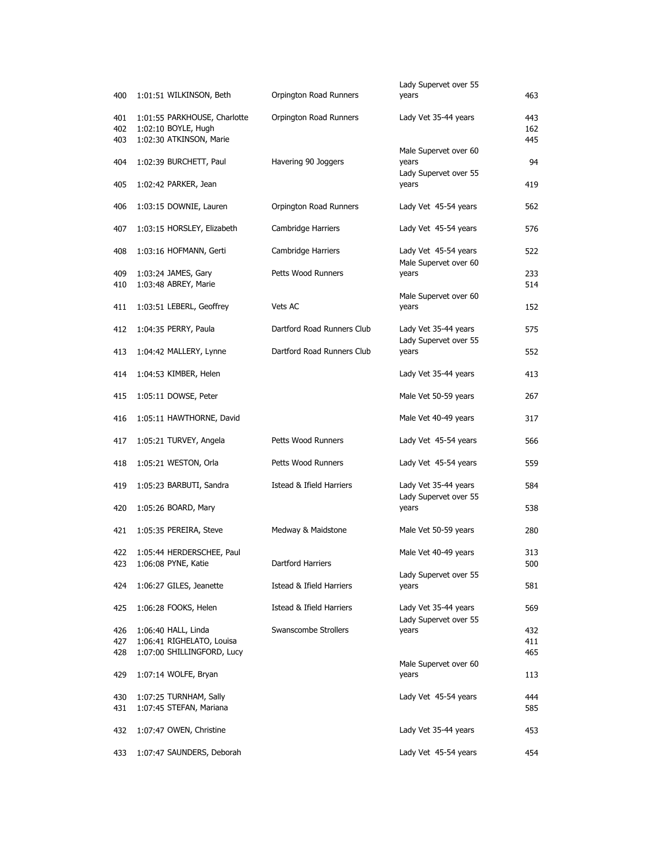| 400               | 1:01:51 WILKINSON, Beth                                                        | Orpington Road Runners     | Lady Supervet over 55<br>years                | 463               |
|-------------------|--------------------------------------------------------------------------------|----------------------------|-----------------------------------------------|-------------------|
| 401<br>402<br>403 | 1:01:55 PARKHOUSE, Charlotte<br>1:02:10 BOYLE, Hugh<br>1:02:30 ATKINSON, Marie | Orpington Road Runners     | Lady Vet 35-44 years                          | 443<br>162<br>445 |
| 404               | 1:02:39 BURCHETT, Paul                                                         | Havering 90 Joggers        | Male Supervet over 60<br>years                | 94                |
| 405               | 1:02:42 PARKER, Jean                                                           |                            | Lady Supervet over 55<br>years                | 419               |
| 406               | 1:03:15 DOWNIE, Lauren                                                         | Orpington Road Runners     | Lady Vet 45-54 years                          | 562               |
| 407               | 1:03:15 HORSLEY, Elizabeth                                                     | Cambridge Harriers         | Lady Vet 45-54 years                          | 576               |
| 408               | 1:03:16 HOFMANN, Gerti                                                         | Cambridge Harriers         | Lady Vet 45-54 years<br>Male Supervet over 60 | 522               |
| 409<br>410        | 1:03:24 JAMES, Gary<br>1:03:48 ABREY, Marie                                    | Petts Wood Runners         | years                                         | 233<br>514        |
| 411               | 1:03:51 LEBERL, Geoffrey                                                       | Vets AC                    | Male Supervet over 60<br>years                | 152               |
| 412               | 1:04:35 PERRY, Paula                                                           | Dartford Road Runners Club | Lady Vet 35-44 years                          | 575               |
| 413               | 1:04:42 MALLERY, Lynne                                                         | Dartford Road Runners Club | Lady Supervet over 55<br>years                | 552               |
| 414               | 1:04:53 KIMBER, Helen                                                          |                            | Lady Vet 35-44 years                          | 413               |
| 415               | 1:05:11 DOWSE, Peter                                                           |                            | Male Vet 50-59 years                          | 267               |
| 416               | 1:05:11 HAWTHORNE, David                                                       |                            | Male Vet 40-49 years                          | 317               |
| 417               | 1:05:21 TURVEY, Angela                                                         | Petts Wood Runners         | Lady Vet 45-54 years                          | 566               |
| 418               | 1:05:21 WESTON, Orla                                                           | Petts Wood Runners         | Lady Vet 45-54 years                          | 559               |
| 419               | 1:05:23 BARBUTI, Sandra                                                        | Istead & Ifield Harriers   | Lady Vet 35-44 years<br>Lady Supervet over 55 | 584               |
| 420               | 1:05:26 BOARD, Mary                                                            |                            | years                                         | 538               |
| 421               | 1:05:35 PEREIRA, Steve                                                         | Medway & Maidstone         | Male Vet 50-59 years                          | 280               |
| 422               | 1:05:44 HERDERSCHEE, Paul<br>423 1:06:08 PYNE, Katie                           | Dartford Harriers          | Male Vet 40-49 years                          | 313<br>500        |
| 424               | 1:06:27 GILES, Jeanette                                                        | Istead & Ifield Harriers   | Lady Supervet over 55<br>years                | 581               |
| 425               | 1:06:28 FOOKS, Helen                                                           | Istead & Ifield Harriers   | Lady Vet 35-44 years                          | 569               |
| 426               | $1:06:40$ HALL, Linda                                                          | Swanscombe Strollers       | Lady Supervet over 55<br>years                | 432               |
| 427               | 1:06:41 RIGHELATO, Louisa                                                      |                            |                                               | 411               |
| 428               | 1:07:00 SHILLINGFORD, Lucy                                                     |                            |                                               | 465               |
| 429               | 1:07:14 WOLFE, Bryan                                                           |                            | Male Supervet over 60<br>years                | 113               |
| 430               | 1:07:25 TURNHAM, Sally                                                         |                            | Lady Vet 45-54 years                          | 444               |
| 431               | 1:07:45 STEFAN, Mariana                                                        |                            |                                               | 585               |
| 432               | 1:07:47 OWEN, Christine                                                        |                            | Lady Vet 35-44 years                          | 453               |
| 433               | 1:07:47 SAUNDERS, Deborah                                                      |                            | Lady Vet 45-54 years                          | 454               |